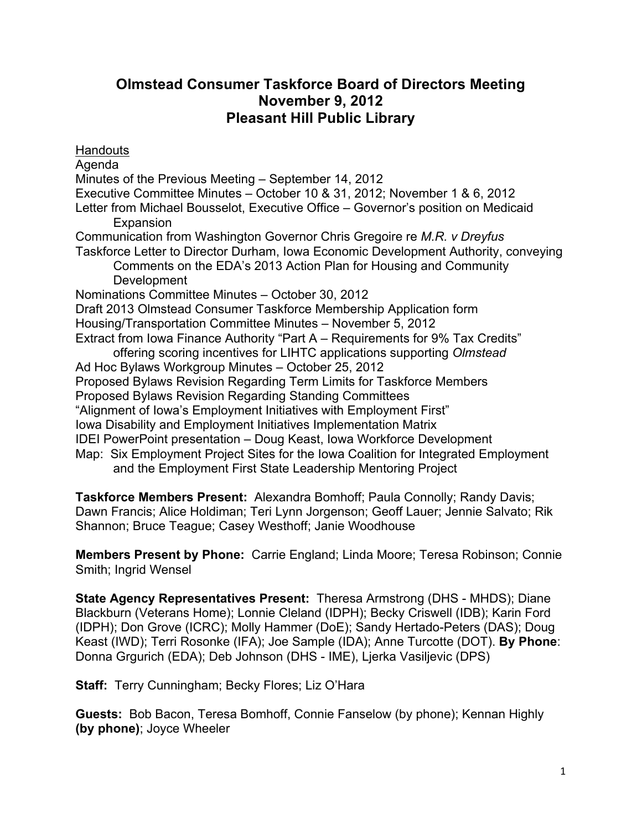# **Olmstead Consumer Taskforce Board of Directors Meeting November 9, 2012 Pleasant Hill Public Library**

**Handouts** Agenda Minutes of the Previous Meeting – September 14, 2012 Executive Committee Minutes – October 10 & 31, 2012; November 1 & 6, 2012 Letter from Michael Bousselot, Executive Office – Governor's position on Medicaid Expansion Communication from Washington Governor Chris Gregoire re *M.R. v Dreyfus* Taskforce Letter to Director Durham, Iowa Economic Development Authority, conveying Comments on the EDA's 2013 Action Plan for Housing and Community Development Nominations Committee Minutes – October 30, 2012 Draft 2013 Olmstead Consumer Taskforce Membership Application form Housing/Transportation Committee Minutes – November 5, 2012 Extract from Iowa Finance Authority "Part A – Requirements for 9% Tax Credits" offering scoring incentives for LIHTC applications supporting *Olmstead* Ad Hoc Bylaws Workgroup Minutes – October 25, 2012 Proposed Bylaws Revision Regarding Term Limits for Taskforce Members Proposed Bylaws Revision Regarding Standing Committees "Alignment of Iowa's Employment Initiatives with Employment First" Iowa Disability and Employment Initiatives Implementation Matrix IDEI PowerPoint presentation – Doug Keast, Iowa Workforce Development Map: Six Employment Project Sites for the Iowa Coalition for Integrated Employment and the Employment First State Leadership Mentoring Project

**Taskforce Members Present:** Alexandra Bomhoff; Paula Connolly; Randy Davis; Dawn Francis; Alice Holdiman; Teri Lynn Jorgenson; Geoff Lauer; Jennie Salvato; Rik Shannon; Bruce Teague; Casey Westhoff; Janie Woodhouse

**Members Present by Phone:** Carrie England; Linda Moore; Teresa Robinson; Connie Smith; Ingrid Wensel

**State Agency Representatives Present:** Theresa Armstrong (DHS - MHDS); Diane Blackburn (Veterans Home); Lonnie Cleland (IDPH); Becky Criswell (IDB); Karin Ford (IDPH); Don Grove (ICRC); Molly Hammer (DoE); Sandy Hertado-Peters (DAS); Doug Keast (IWD); Terri Rosonke (IFA); Joe Sample (IDA); Anne Turcotte (DOT). **By Phone**: Donna Grgurich (EDA); Deb Johnson (DHS - IME), Ljerka Vasiljevic (DPS)

**Staff:** Terry Cunningham; Becky Flores; Liz O'Hara

**Guests:** Bob Bacon, Teresa Bomhoff, Connie Fanselow (by phone); Kennan Highly **(by phone)**; Joyce Wheeler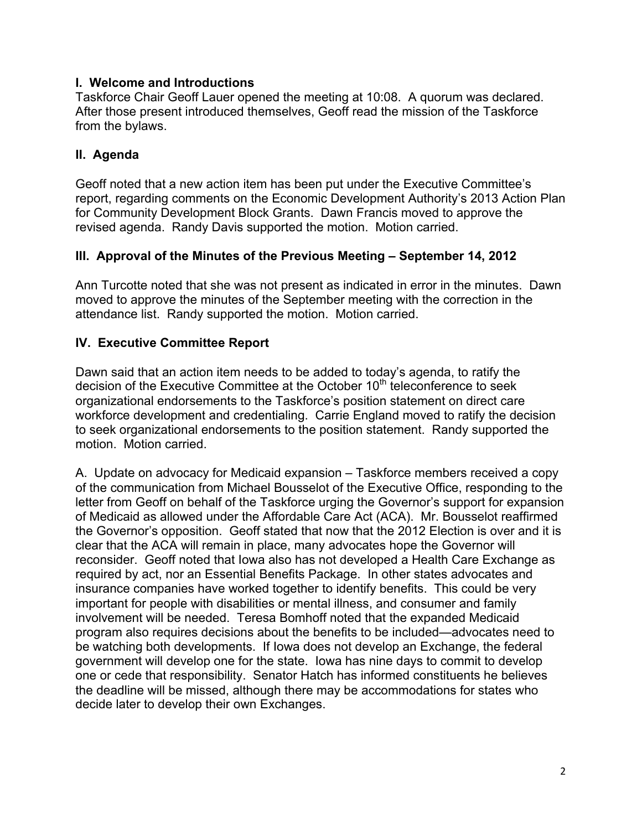## **I. Welcome and Introductions**

Taskforce Chair Geoff Lauer opened the meeting at 10:08. A quorum was declared. After those present introduced themselves, Geoff read the mission of the Taskforce from the bylaws.

## **II. Agenda**

Geoff noted that a new action item has been put under the Executive Committee's report, regarding comments on the Economic Development Authority's 2013 Action Plan for Community Development Block Grants. Dawn Francis moved to approve the revised agenda. Randy Davis supported the motion. Motion carried.

### **III. Approval of the Minutes of the Previous Meeting – September 14, 2012**

Ann Turcotte noted that she was not present as indicated in error in the minutes. Dawn moved to approve the minutes of the September meeting with the correction in the attendance list. Randy supported the motion. Motion carried.

### **IV. Executive Committee Report**

Dawn said that an action item needs to be added to today's agenda, to ratify the decision of the Executive Committee at the October 10<sup>th</sup> teleconference to seek organizational endorsements to the Taskforce's position statement on direct care workforce development and credentialing. Carrie England moved to ratify the decision to seek organizational endorsements to the position statement. Randy supported the motion. Motion carried.

A. Update on advocacy for Medicaid expansion – Taskforce members received a copy of the communication from Michael Bousselot of the Executive Office, responding to the letter from Geoff on behalf of the Taskforce urging the Governor's support for expansion of Medicaid as allowed under the Affordable Care Act (ACA). Mr. Bousselot reaffirmed the Governor's opposition. Geoff stated that now that the 2012 Election is over and it is clear that the ACA will remain in place, many advocates hope the Governor will reconsider. Geoff noted that Iowa also has not developed a Health Care Exchange as required by act, nor an Essential Benefits Package. In other states advocates and insurance companies have worked together to identify benefits. This could be very important for people with disabilities or mental illness, and consumer and family involvement will be needed. Teresa Bomhoff noted that the expanded Medicaid program also requires decisions about the benefits to be included—advocates need to be watching both developments. If Iowa does not develop an Exchange, the federal government will develop one for the state. Iowa has nine days to commit to develop one or cede that responsibility. Senator Hatch has informed constituents he believes the deadline will be missed, although there may be accommodations for states who decide later to develop their own Exchanges.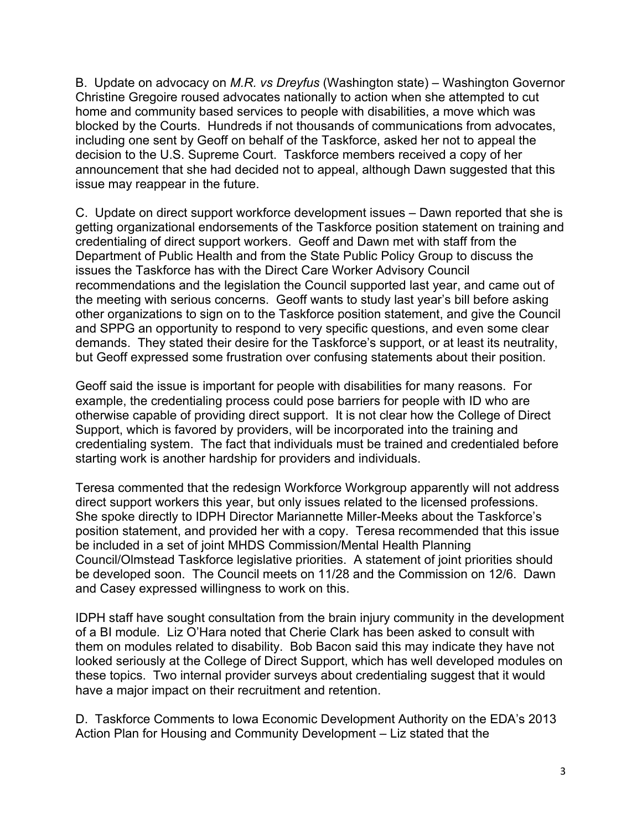B. Update on advocacy on *M.R. vs Dreyfus* (Washington state) – Washington Governor Christine Gregoire roused advocates nationally to action when she attempted to cut home and community based services to people with disabilities, a move which was blocked by the Courts. Hundreds if not thousands of communications from advocates, including one sent by Geoff on behalf of the Taskforce, asked her not to appeal the decision to the U.S. Supreme Court. Taskforce members received a copy of her announcement that she had decided not to appeal, although Dawn suggested that this issue may reappear in the future.

C. Update on direct support workforce development issues – Dawn reported that she is getting organizational endorsements of the Taskforce position statement on training and credentialing of direct support workers. Geoff and Dawn met with staff from the Department of Public Health and from the State Public Policy Group to discuss the issues the Taskforce has with the Direct Care Worker Advisory Council recommendations and the legislation the Council supported last year, and came out of the meeting with serious concerns. Geoff wants to study last year's bill before asking other organizations to sign on to the Taskforce position statement, and give the Council and SPPG an opportunity to respond to very specific questions, and even some clear demands. They stated their desire for the Taskforce's support, or at least its neutrality, but Geoff expressed some frustration over confusing statements about their position.

Geoff said the issue is important for people with disabilities for many reasons. For example, the credentialing process could pose barriers for people with ID who are otherwise capable of providing direct support. It is not clear how the College of Direct Support, which is favored by providers, will be incorporated into the training and credentialing system. The fact that individuals must be trained and credentialed before starting work is another hardship for providers and individuals.

Teresa commented that the redesign Workforce Workgroup apparently will not address direct support workers this year, but only issues related to the licensed professions. She spoke directly to IDPH Director Mariannette Miller-Meeks about the Taskforce's position statement, and provided her with a copy. Teresa recommended that this issue be included in a set of joint MHDS Commission/Mental Health Planning Council/Olmstead Taskforce legislative priorities. A statement of joint priorities should be developed soon. The Council meets on 11/28 and the Commission on 12/6. Dawn and Casey expressed willingness to work on this.

IDPH staff have sought consultation from the brain injury community in the development of a BI module. Liz O'Hara noted that Cherie Clark has been asked to consult with them on modules related to disability. Bob Bacon said this may indicate they have not looked seriously at the College of Direct Support, which has well developed modules on these topics. Two internal provider surveys about credentialing suggest that it would have a major impact on their recruitment and retention.

D. Taskforce Comments to Iowa Economic Development Authority on the EDA's 2013 Action Plan for Housing and Community Development – Liz stated that the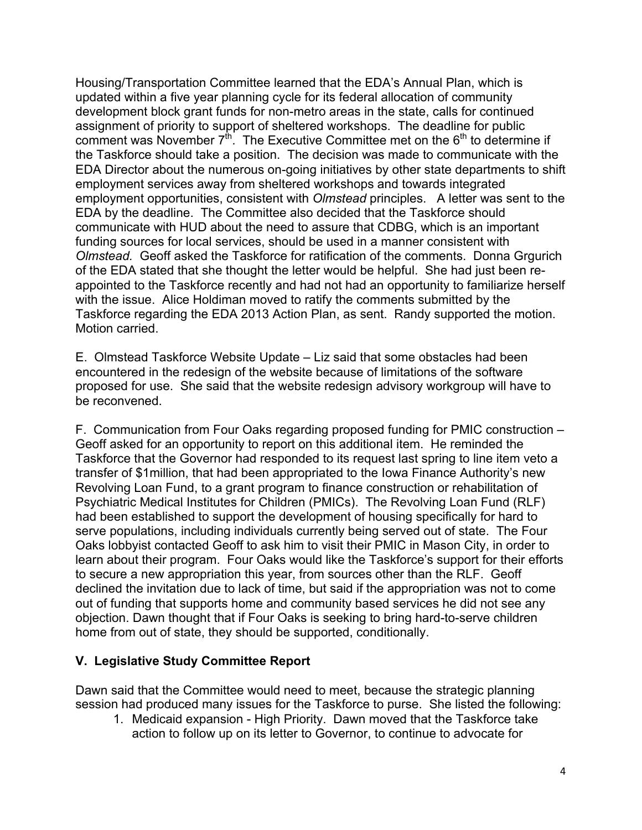Housing/Transportation Committee learned that the EDA's Annual Plan, which is updated within a five year planning cycle for its federal allocation of community development block grant funds for non-metro areas in the state, calls for continued assignment of priority to support of sheltered workshops. The deadline for public comment was November  $7<sup>th</sup>$ . The Executive Committee met on the  $6<sup>th</sup>$  to determine if the Taskforce should take a position. The decision was made to communicate with the EDA Director about the numerous on-going initiatives by other state departments to shift employment services away from sheltered workshops and towards integrated employment opportunities, consistent with *Olmstead* principles. A letter was sent to the EDA by the deadline. The Committee also decided that the Taskforce should communicate with HUD about the need to assure that CDBG, which is an important funding sources for local services, should be used in a manner consistent with *Olmstead.* Geoff asked the Taskforce for ratification of the comments. Donna Grgurich of the EDA stated that she thought the letter would be helpful. She had just been reappointed to the Taskforce recently and had not had an opportunity to familiarize herself with the issue. Alice Holdiman moved to ratify the comments submitted by the Taskforce regarding the EDA 2013 Action Plan, as sent. Randy supported the motion. Motion carried.

E. Olmstead Taskforce Website Update – Liz said that some obstacles had been encountered in the redesign of the website because of limitations of the software proposed for use. She said that the website redesign advisory workgroup will have to be reconvened.

F. Communication from Four Oaks regarding proposed funding for PMIC construction – Geoff asked for an opportunity to report on this additional item. He reminded the Taskforce that the Governor had responded to its request last spring to line item veto a transfer of \$1million, that had been appropriated to the Iowa Finance Authority's new Revolving Loan Fund, to a grant program to finance construction or rehabilitation of Psychiatric Medical Institutes for Children (PMICs). The Revolving Loan Fund (RLF) had been established to support the development of housing specifically for hard to serve populations, including individuals currently being served out of state. The Four Oaks lobbyist contacted Geoff to ask him to visit their PMIC in Mason City, in order to learn about their program. Four Oaks would like the Taskforce's support for their efforts to secure a new appropriation this year, from sources other than the RLF. Geoff declined the invitation due to lack of time, but said if the appropriation was not to come out of funding that supports home and community based services he did not see any objection. Dawn thought that if Four Oaks is seeking to bring hard-to-serve children home from out of state, they should be supported, conditionally.

# **V. Legislative Study Committee Report**

Dawn said that the Committee would need to meet, because the strategic planning session had produced many issues for the Taskforce to purse. She listed the following:

1. Medicaid expansion - High Priority. Dawn moved that the Taskforce take action to follow up on its letter to Governor, to continue to advocate for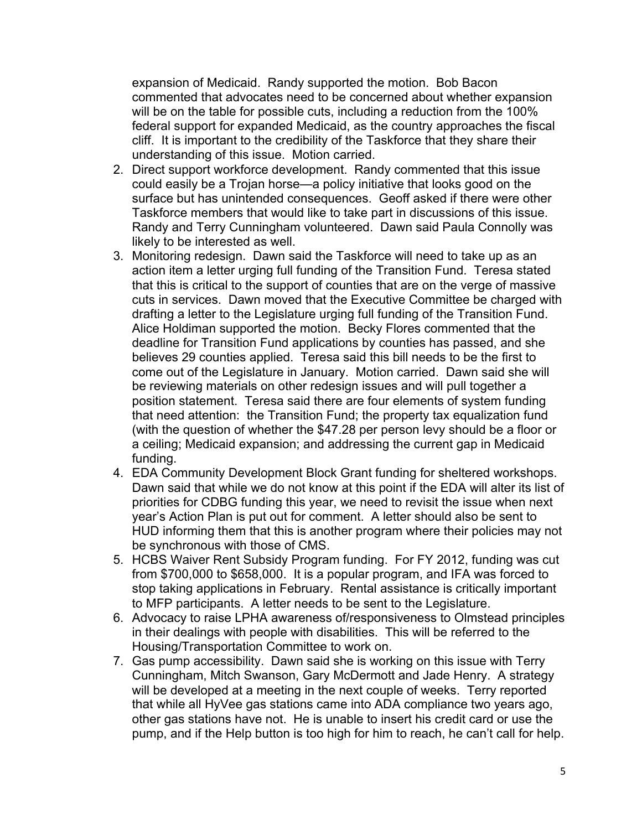expansion of Medicaid. Randy supported the motion. Bob Bacon commented that advocates need to be concerned about whether expansion will be on the table for possible cuts, including a reduction from the 100% federal support for expanded Medicaid, as the country approaches the fiscal cliff. It is important to the credibility of the Taskforce that they share their understanding of this issue. Motion carried.

- 2. Direct support workforce development. Randy commented that this issue could easily be a Trojan horse—a policy initiative that looks good on the surface but has unintended consequences. Geoff asked if there were other Taskforce members that would like to take part in discussions of this issue. Randy and Terry Cunningham volunteered. Dawn said Paula Connolly was likely to be interested as well.
- 3. Monitoring redesign. Dawn said the Taskforce will need to take up as an action item a letter urging full funding of the Transition Fund. Teresa stated that this is critical to the support of counties that are on the verge of massive cuts in services. Dawn moved that the Executive Committee be charged with drafting a letter to the Legislature urging full funding of the Transition Fund. Alice Holdiman supported the motion. Becky Flores commented that the deadline for Transition Fund applications by counties has passed, and she believes 29 counties applied. Teresa said this bill needs to be the first to come out of the Legislature in January. Motion carried. Dawn said she will be reviewing materials on other redesign issues and will pull together a position statement. Teresa said there are four elements of system funding that need attention: the Transition Fund; the property tax equalization fund (with the question of whether the \$47.28 per person levy should be a floor or a ceiling; Medicaid expansion; and addressing the current gap in Medicaid funding.
- 4. EDA Community Development Block Grant funding for sheltered workshops. Dawn said that while we do not know at this point if the EDA will alter its list of priorities for CDBG funding this year, we need to revisit the issue when next year's Action Plan is put out for comment. A letter should also be sent to HUD informing them that this is another program where their policies may not be synchronous with those of CMS.
- 5. HCBS Waiver Rent Subsidy Program funding. For FY 2012, funding was cut from \$700,000 to \$658,000. It is a popular program, and IFA was forced to stop taking applications in February. Rental assistance is critically important to MFP participants. A letter needs to be sent to the Legislature.
- 6. Advocacy to raise LPHA awareness of/responsiveness to Olmstead principles in their dealings with people with disabilities. This will be referred to the Housing/Transportation Committee to work on.
- 7. Gas pump accessibility. Dawn said she is working on this issue with Terry Cunningham, Mitch Swanson, Gary McDermott and Jade Henry. A strategy will be developed at a meeting in the next couple of weeks. Terry reported that while all HyVee gas stations came into ADA compliance two years ago, other gas stations have not. He is unable to insert his credit card or use the pump, and if the Help button is too high for him to reach, he can't call for help.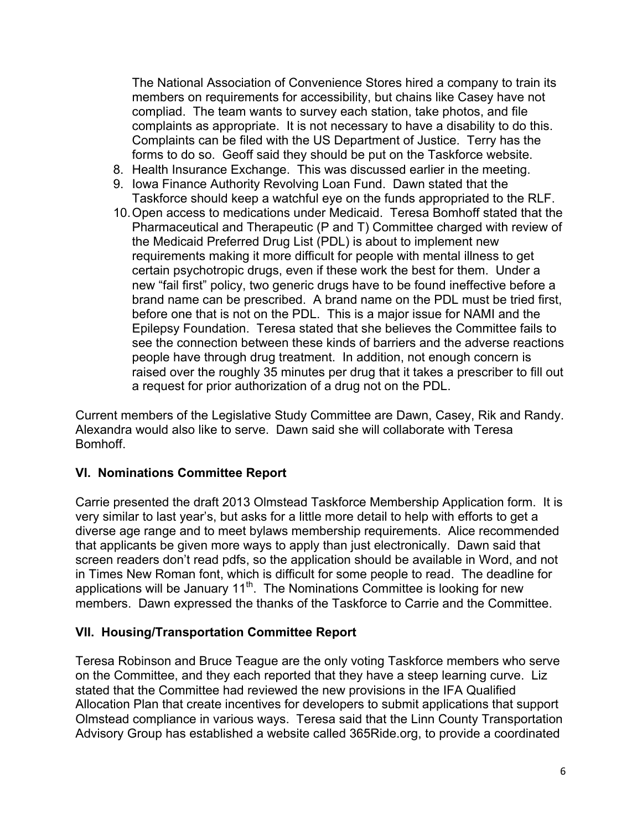The National Association of Convenience Stores hired a company to train its members on requirements for accessibility, but chains like Casey have not compliad. The team wants to survey each station, take photos, and file complaints as appropriate. It is not necessary to have a disability to do this. Complaints can be filed with the US Department of Justice. Terry has the forms to do so. Geoff said they should be put on the Taskforce website.

- 8. Health Insurance Exchange. This was discussed earlier in the meeting.
- 9. Iowa Finance Authority Revolving Loan Fund. Dawn stated that the Taskforce should keep a watchful eye on the funds appropriated to the RLF.
- 10.Open access to medications under Medicaid. Teresa Bomhoff stated that the Pharmaceutical and Therapeutic (P and T) Committee charged with review of the Medicaid Preferred Drug List (PDL) is about to implement new requirements making it more difficult for people with mental illness to get certain psychotropic drugs, even if these work the best for them. Under a new "fail first" policy, two generic drugs have to be found ineffective before a brand name can be prescribed. A brand name on the PDL must be tried first, before one that is not on the PDL. This is a major issue for NAMI and the Epilepsy Foundation. Teresa stated that she believes the Committee fails to see the connection between these kinds of barriers and the adverse reactions people have through drug treatment. In addition, not enough concern is raised over the roughly 35 minutes per drug that it takes a prescriber to fill out a request for prior authorization of a drug not on the PDL.

Current members of the Legislative Study Committee are Dawn, Casey, Rik and Randy. Alexandra would also like to serve. Dawn said she will collaborate with Teresa Bomhoff.

#### **VI. Nominations Committee Report**

Carrie presented the draft 2013 Olmstead Taskforce Membership Application form. It is very similar to last year's, but asks for a little more detail to help with efforts to get a diverse age range and to meet bylaws membership requirements. Alice recommended that applicants be given more ways to apply than just electronically. Dawn said that screen readers don't read pdfs, so the application should be available in Word, and not in Times New Roman font, which is difficult for some people to read. The deadline for applications will be January 11<sup>th</sup>. The Nominations Committee is looking for new members. Dawn expressed the thanks of the Taskforce to Carrie and the Committee.

#### **VII. Housing/Transportation Committee Report**

Teresa Robinson and Bruce Teague are the only voting Taskforce members who serve on the Committee, and they each reported that they have a steep learning curve. Liz stated that the Committee had reviewed the new provisions in the IFA Qualified Allocation Plan that create incentives for developers to submit applications that support Olmstead compliance in various ways. Teresa said that the Linn County Transportation Advisory Group has established a website called 365Ride.org, to provide a coordinated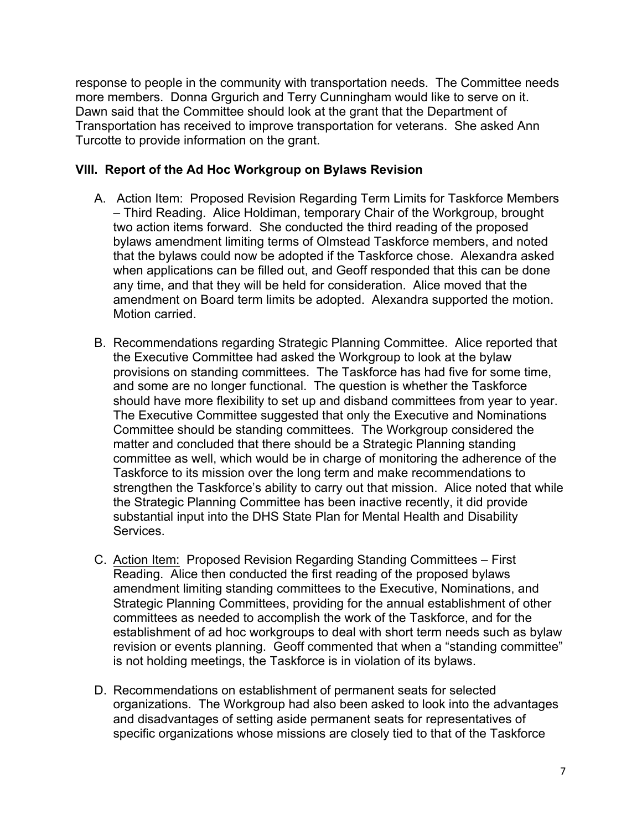response to people in the community with transportation needs. The Committee needs more members. Donna Grgurich and Terry Cunningham would like to serve on it. Dawn said that the Committee should look at the grant that the Department of Transportation has received to improve transportation for veterans. She asked Ann Turcotte to provide information on the grant.

### **VIII. Report of the Ad Hoc Workgroup on Bylaws Revision**

- A. Action Item: Proposed Revision Regarding Term Limits for Taskforce Members – Third Reading. Alice Holdiman, temporary Chair of the Workgroup, brought two action items forward. She conducted the third reading of the proposed bylaws amendment limiting terms of Olmstead Taskforce members, and noted that the bylaws could now be adopted if the Taskforce chose. Alexandra asked when applications can be filled out, and Geoff responded that this can be done any time, and that they will be held for consideration. Alice moved that the amendment on Board term limits be adopted. Alexandra supported the motion. Motion carried.
- B. Recommendations regarding Strategic Planning Committee. Alice reported that the Executive Committee had asked the Workgroup to look at the bylaw provisions on standing committees. The Taskforce has had five for some time, and some are no longer functional. The question is whether the Taskforce should have more flexibility to set up and disband committees from year to year. The Executive Committee suggested that only the Executive and Nominations Committee should be standing committees. The Workgroup considered the matter and concluded that there should be a Strategic Planning standing committee as well, which would be in charge of monitoring the adherence of the Taskforce to its mission over the long term and make recommendations to strengthen the Taskforce's ability to carry out that mission. Alice noted that while the Strategic Planning Committee has been inactive recently, it did provide substantial input into the DHS State Plan for Mental Health and Disability Services.
- C. Action Item: Proposed Revision Regarding Standing Committees First Reading. Alice then conducted the first reading of the proposed bylaws amendment limiting standing committees to the Executive, Nominations, and Strategic Planning Committees, providing for the annual establishment of other committees as needed to accomplish the work of the Taskforce, and for the establishment of ad hoc workgroups to deal with short term needs such as bylaw revision or events planning. Geoff commented that when a "standing committee" is not holding meetings, the Taskforce is in violation of its bylaws.
- D. Recommendations on establishment of permanent seats for selected organizations. The Workgroup had also been asked to look into the advantages and disadvantages of setting aside permanent seats for representatives of specific organizations whose missions are closely tied to that of the Taskforce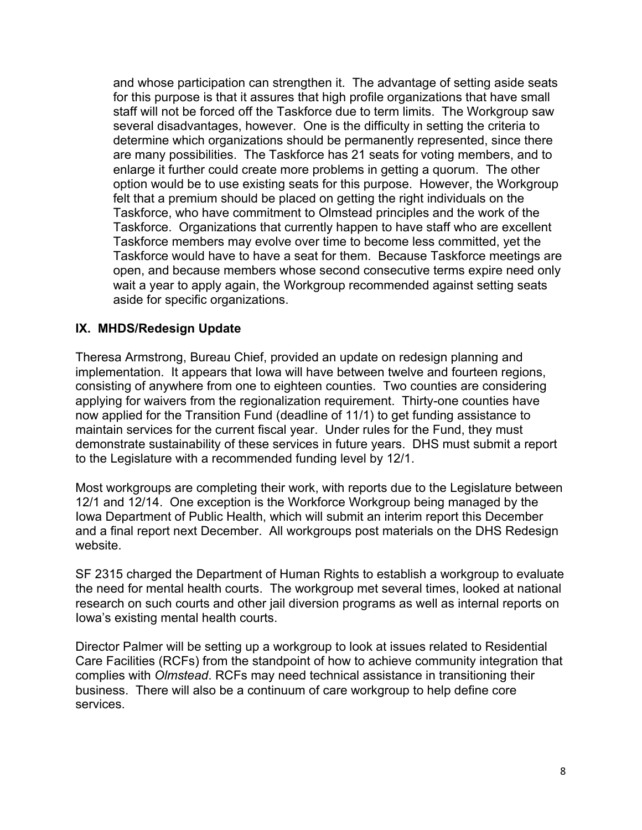and whose participation can strengthen it. The advantage of setting aside seats for this purpose is that it assures that high profile organizations that have small staff will not be forced off the Taskforce due to term limits. The Workgroup saw several disadvantages, however. One is the difficulty in setting the criteria to determine which organizations should be permanently represented, since there are many possibilities. The Taskforce has 21 seats for voting members, and to enlarge it further could create more problems in getting a quorum. The other option would be to use existing seats for this purpose. However, the Workgroup felt that a premium should be placed on getting the right individuals on the Taskforce, who have commitment to Olmstead principles and the work of the Taskforce. Organizations that currently happen to have staff who are excellent Taskforce members may evolve over time to become less committed, yet the Taskforce would have to have a seat for them. Because Taskforce meetings are open, and because members whose second consecutive terms expire need only wait a year to apply again, the Workgroup recommended against setting seats aside for specific organizations.

### **IX. MHDS/Redesign Update**

Theresa Armstrong, Bureau Chief, provided an update on redesign planning and implementation. It appears that Iowa will have between twelve and fourteen regions, consisting of anywhere from one to eighteen counties. Two counties are considering applying for waivers from the regionalization requirement. Thirty-one counties have now applied for the Transition Fund (deadline of 11/1) to get funding assistance to maintain services for the current fiscal year. Under rules for the Fund, they must demonstrate sustainability of these services in future years. DHS must submit a report to the Legislature with a recommended funding level by 12/1.

Most workgroups are completing their work, with reports due to the Legislature between 12/1 and 12/14. One exception is the Workforce Workgroup being managed by the Iowa Department of Public Health, which will submit an interim report this December and a final report next December. All workgroups post materials on the DHS Redesign website.

SF 2315 charged the Department of Human Rights to establish a workgroup to evaluate the need for mental health courts. The workgroup met several times, looked at national research on such courts and other jail diversion programs as well as internal reports on Iowa's existing mental health courts.

Director Palmer will be setting up a workgroup to look at issues related to Residential Care Facilities (RCFs) from the standpoint of how to achieve community integration that complies with *Olmstead*. RCFs may need technical assistance in transitioning their business. There will also be a continuum of care workgroup to help define core services.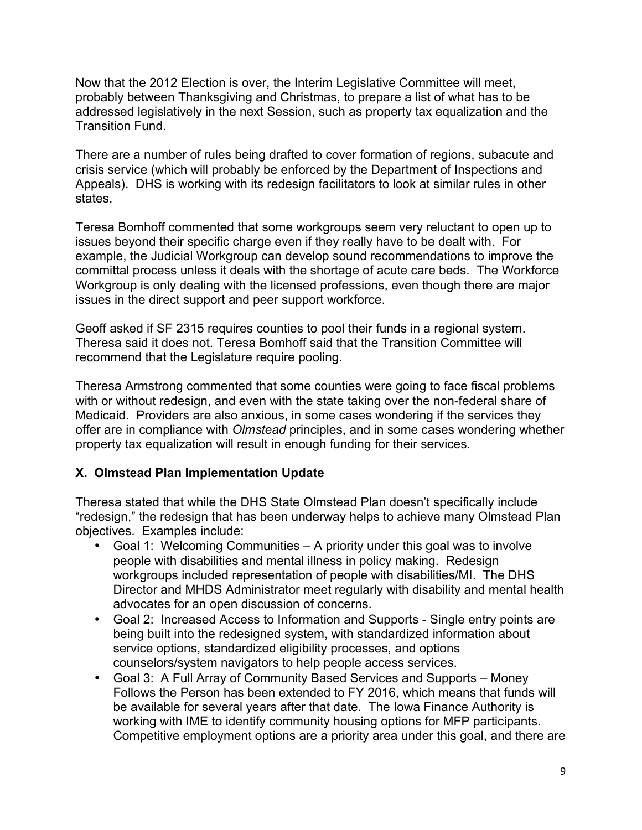Now that the 2012 Election is over, the Interim Legislative Committee will meet, probably between Thanksgiving and Christmas, to prepare a list of what has to be addressed legislatively in the next Session, such as property tax equalization and the Transition Fund.

There are a number of rules being drafted to cover formation of regions, subacute and crisis service (which will probably be enforced by the Department of Inspections and Appeals). DHS is working with its redesign facilitators to look at similar rules in other states.

Teresa Bomhoff commented that some workgroups seem very reluctant to open up to issues beyond their specific charge even if they really have to be dealt with. For example, the Judicial Workgroup can develop sound recommendations to improve the committal process unless it deals with the shortage of acute care beds. The Workforce Workgroup is only dealing with the licensed professions, even though there are major issues in the direct support and peer support workforce.

Geoff asked if SF 2315 requires counties to pool their funds in a regional system. Theresa said it does not. Teresa Bomhoff said that the Transition Committee will recommend that the Legislature require pooling.

Theresa Armstrong commented that some counties were going to face fiscal problems with or without redesign, and even with the state taking over the non-federal share of Medicaid. Providers are also anxious, in some cases wondering if the services they offer are in compliance with *Olmstead* principles, and in some cases wondering whether property tax equalization will result in enough funding for their services.

# **X. Olmstead Plan Implementation Update**

Theresa stated that while the DHS State Olmstead Plan doesn't specifically include "redesign," the redesign that has been underway helps to achieve many Olmstead Plan objectives. Examples include:

- Goal 1: Welcoming Communities A priority under this goal was to involve people with disabilities and mental illness in policy making. Redesign workgroups included representation of people with disabilities/MI. The DHS Director and MHDS Administrator meet regularly with disability and mental health advocates for an open discussion of concerns.
- Goal 2: Increased Access to Information and Supports Single entry points are being built into the redesigned system, with standardized information about service options, standardized eligibility processes, and options counselors/system navigators to help people access services.
- Goal 3: A Full Array of Community Based Services and Supports Money Follows the Person has been extended to FY 2016, which means that funds will be available for several years after that date. The Iowa Finance Authority is working with IME to identify community housing options for MFP participants. Competitive employment options are a priority area under this goal, and there are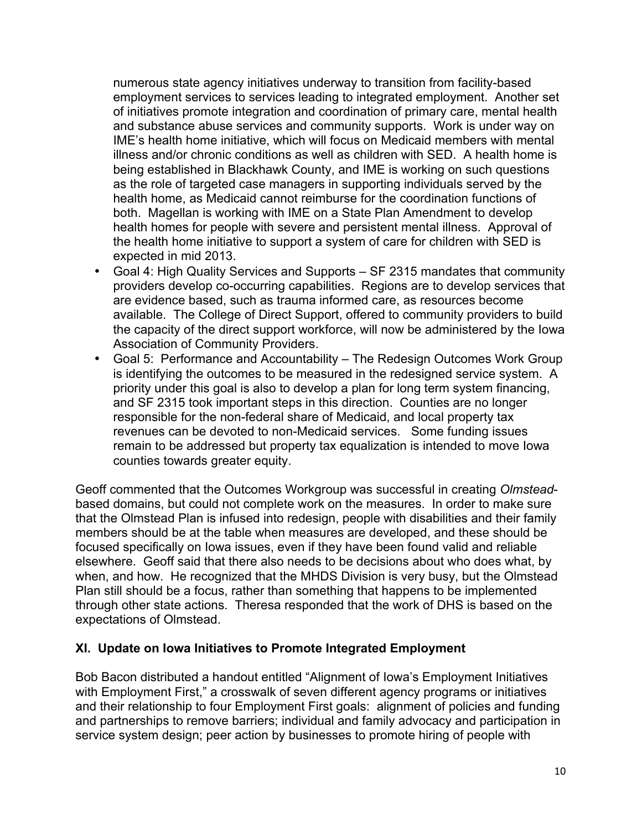numerous state agency initiatives underway to transition from facility-based employment services to services leading to integrated employment. Another set of initiatives promote integration and coordination of primary care, mental health and substance abuse services and community supports. Work is under way on IME's health home initiative, which will focus on Medicaid members with mental illness and/or chronic conditions as well as children with SED. A health home is being established in Blackhawk County, and IME is working on such questions as the role of targeted case managers in supporting individuals served by the health home, as Medicaid cannot reimburse for the coordination functions of both. Magellan is working with IME on a State Plan Amendment to develop health homes for people with severe and persistent mental illness. Approval of the health home initiative to support a system of care for children with SED is expected in mid 2013.

- Goal 4: High Quality Services and Supports SF 2315 mandates that community providers develop co-occurring capabilities. Regions are to develop services that are evidence based, such as trauma informed care, as resources become available. The College of Direct Support, offered to community providers to build the capacity of the direct support workforce, will now be administered by the Iowa Association of Community Providers.
- Goal 5: Performance and Accountability The Redesign Outcomes Work Group is identifying the outcomes to be measured in the redesigned service system. A priority under this goal is also to develop a plan for long term system financing, and SF 2315 took important steps in this direction. Counties are no longer responsible for the non-federal share of Medicaid, and local property tax revenues can be devoted to non-Medicaid services. Some funding issues remain to be addressed but property tax equalization is intended to move Iowa counties towards greater equity.

Geoff commented that the Outcomes Workgroup was successful in creating *Olmstead*based domains, but could not complete work on the measures. In order to make sure that the Olmstead Plan is infused into redesign, people with disabilities and their family members should be at the table when measures are developed, and these should be focused specifically on Iowa issues, even if they have been found valid and reliable elsewhere. Geoff said that there also needs to be decisions about who does what, by when, and how. He recognized that the MHDS Division is very busy, but the Olmstead Plan still should be a focus, rather than something that happens to be implemented through other state actions. Theresa responded that the work of DHS is based on the expectations of Olmstead.

#### **XI. Update on Iowa Initiatives to Promote Integrated Employment**

Bob Bacon distributed a handout entitled "Alignment of Iowa's Employment Initiatives with Employment First," a crosswalk of seven different agency programs or initiatives and their relationship to four Employment First goals: alignment of policies and funding and partnerships to remove barriers; individual and family advocacy and participation in service system design; peer action by businesses to promote hiring of people with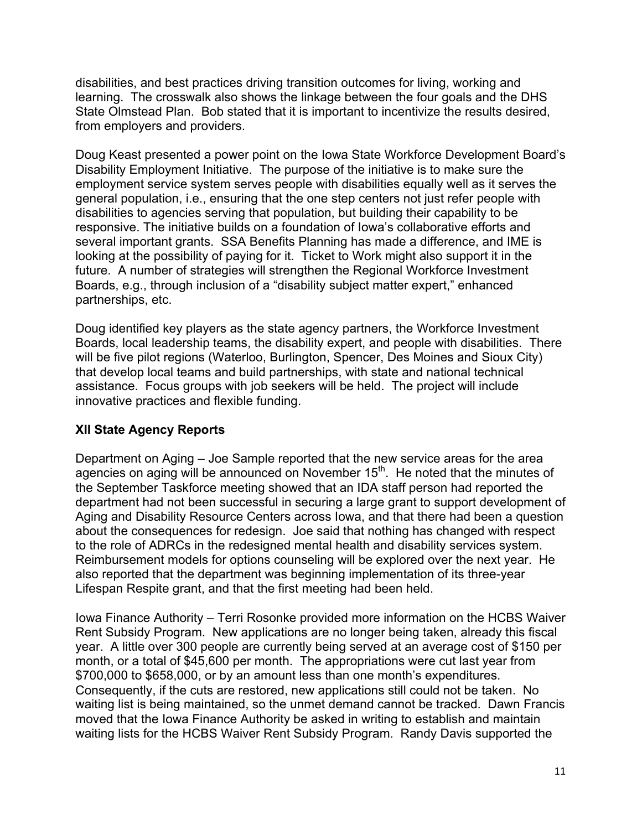disabilities, and best practices driving transition outcomes for living, working and learning. The crosswalk also shows the linkage between the four goals and the DHS State Olmstead Plan. Bob stated that it is important to incentivize the results desired, from employers and providers.

Doug Keast presented a power point on the Iowa State Workforce Development Board's Disability Employment Initiative. The purpose of the initiative is to make sure the employment service system serves people with disabilities equally well as it serves the general population, i.e., ensuring that the one step centers not just refer people with disabilities to agencies serving that population, but building their capability to be responsive. The initiative builds on a foundation of Iowa's collaborative efforts and several important grants. SSA Benefits Planning has made a difference, and IME is looking at the possibility of paying for it. Ticket to Work might also support it in the future. A number of strategies will strengthen the Regional Workforce Investment Boards, e.g., through inclusion of a "disability subject matter expert," enhanced partnerships, etc.

Doug identified key players as the state agency partners, the Workforce Investment Boards, local leadership teams, the disability expert, and people with disabilities. There will be five pilot regions (Waterloo, Burlington, Spencer, Des Moines and Sioux City) that develop local teams and build partnerships, with state and national technical assistance. Focus groups with job seekers will be held. The project will include innovative practices and flexible funding.

# **XII State Agency Reports**

Department on Aging – Joe Sample reported that the new service areas for the area agencies on aging will be announced on November  $15<sup>th</sup>$ . He noted that the minutes of the September Taskforce meeting showed that an IDA staff person had reported the department had not been successful in securing a large grant to support development of Aging and Disability Resource Centers across Iowa, and that there had been a question about the consequences for redesign. Joe said that nothing has changed with respect to the role of ADRCs in the redesigned mental health and disability services system. Reimbursement models for options counseling will be explored over the next year. He also reported that the department was beginning implementation of its three-year Lifespan Respite grant, and that the first meeting had been held.

Iowa Finance Authority – Terri Rosonke provided more information on the HCBS Waiver Rent Subsidy Program. New applications are no longer being taken, already this fiscal year. A little over 300 people are currently being served at an average cost of \$150 per month, or a total of \$45,600 per month. The appropriations were cut last year from \$700,000 to \$658,000, or by an amount less than one month's expenditures. Consequently, if the cuts are restored, new applications still could not be taken. No waiting list is being maintained, so the unmet demand cannot be tracked. Dawn Francis moved that the Iowa Finance Authority be asked in writing to establish and maintain waiting lists for the HCBS Waiver Rent Subsidy Program. Randy Davis supported the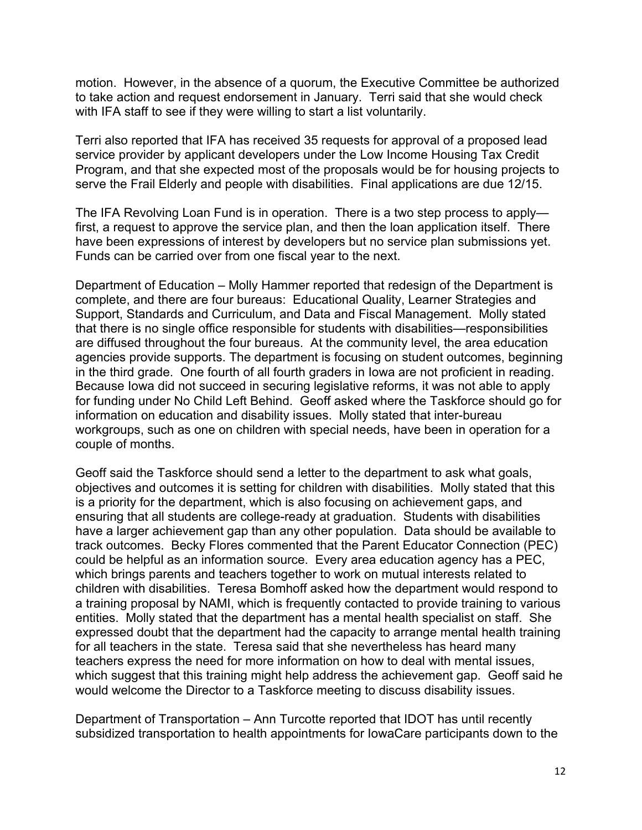motion. However, in the absence of a quorum, the Executive Committee be authorized to take action and request endorsement in January. Terri said that she would check with IFA staff to see if they were willing to start a list voluntarily.

Terri also reported that IFA has received 35 requests for approval of a proposed lead service provider by applicant developers under the Low Income Housing Tax Credit Program, and that she expected most of the proposals would be for housing projects to serve the Frail Elderly and people with disabilities. Final applications are due 12/15.

The IFA Revolving Loan Fund is in operation. There is a two step process to apply first, a request to approve the service plan, and then the loan application itself. There have been expressions of interest by developers but no service plan submissions yet. Funds can be carried over from one fiscal year to the next.

Department of Education – Molly Hammer reported that redesign of the Department is complete, and there are four bureaus: Educational Quality, Learner Strategies and Support, Standards and Curriculum, and Data and Fiscal Management. Molly stated that there is no single office responsible for students with disabilities—responsibilities are diffused throughout the four bureaus. At the community level, the area education agencies provide supports. The department is focusing on student outcomes, beginning in the third grade. One fourth of all fourth graders in Iowa are not proficient in reading. Because Iowa did not succeed in securing legislative reforms, it was not able to apply for funding under No Child Left Behind. Geoff asked where the Taskforce should go for information on education and disability issues. Molly stated that inter-bureau workgroups, such as one on children with special needs, have been in operation for a couple of months.

Geoff said the Taskforce should send a letter to the department to ask what goals, objectives and outcomes it is setting for children with disabilities. Molly stated that this is a priority for the department, which is also focusing on achievement gaps, and ensuring that all students are college-ready at graduation. Students with disabilities have a larger achievement gap than any other population. Data should be available to track outcomes. Becky Flores commented that the Parent Educator Connection (PEC) could be helpful as an information source. Every area education agency has a PEC, which brings parents and teachers together to work on mutual interests related to children with disabilities. Teresa Bomhoff asked how the department would respond to a training proposal by NAMI, which is frequently contacted to provide training to various entities. Molly stated that the department has a mental health specialist on staff. She expressed doubt that the department had the capacity to arrange mental health training for all teachers in the state. Teresa said that she nevertheless has heard many teachers express the need for more information on how to deal with mental issues, which suggest that this training might help address the achievement gap. Geoff said he would welcome the Director to a Taskforce meeting to discuss disability issues.

Department of Transportation – Ann Turcotte reported that IDOT has until recently subsidized transportation to health appointments for IowaCare participants down to the